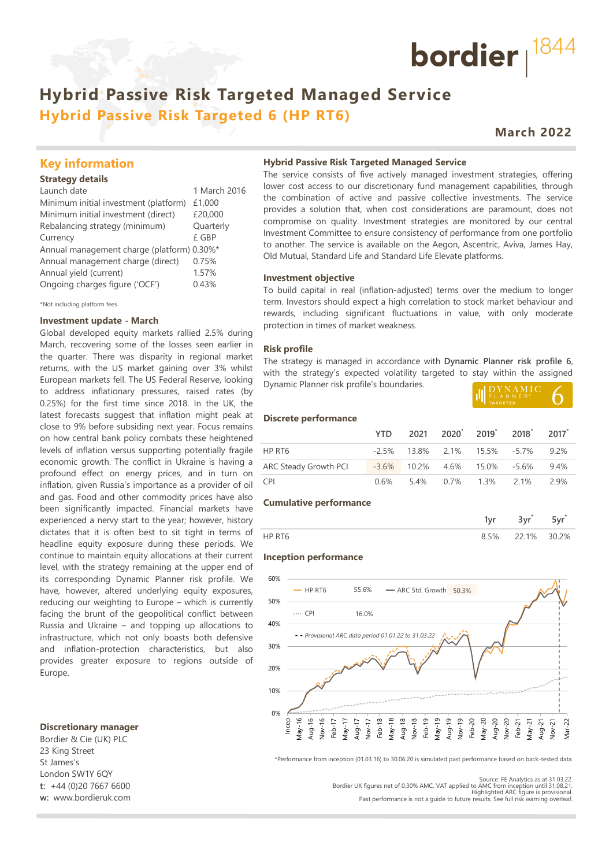# **Hybrid Passive Risk Targeted Managed Service Hybrid Passive Risk Targeted 6 (HP RT6)**

# **March 2022**

bordier  $1844$ 

## **Key information**

### **Strategy details**

| Launch date                                | 1 March 2016 |
|--------------------------------------------|--------------|
| Minimum initial investment (platform)      | £1,000       |
| Minimum initial investment (direct)        | £20,000      |
| Rebalancing strategy (minimum)             | Quarterly    |
| Currency                                   | £ GBP        |
| Annual management charge (platform) 0.30%* |              |
| Annual management charge (direct)          | 0.75%        |
| Annual yield (current)                     | 1.57%        |
| Ongoing charges figure ('OCF')             | 0.43%        |
|                                            |              |

\*Not including platform fees

#### **Investment update - March**

Global developed equity markets rallied 2.5% during March, recovering some of the losses seen earlier in the quarter. There was disparity in regional market returns, with the US market gaining over 3% whilst European markets fell. The US Federal Reserve, looking to address inflationary pressures, raised rates (by 0.25%) for the first time since 2018. In the UK, the latest forecasts suggest that inflation might peak at close to 9% before subsiding next year. Focus remains on how central bank policy combats these heightened levels of inflation versus supporting potentially fragile economic growth. The conflict in Ukraine is having a profound effect on energy prices, and in turn on inflation, given Russia's importance as a provider of oil and gas. Food and other commodity prices have also been significantly impacted. Financial markets have experienced a nervy start to the year; however, history dictates that it is often best to sit tight in terms of headline equity exposure during these periods. We continue to maintain equity allocations at their current level, with the strategy remaining at the upper end of its corresponding Dynamic Planner risk profile. We have, however, altered underlying equity exposures, reducing our weighting to Europe – which is currently facing the brunt of the geopolitical conflict between Russia and Ukraine – and topping up allocations to infrastructure, which not only boasts both defensive and inflation-protection characteristics, but also provides greater exposure to regions outside of Europe.

#### **Discretionary manager**

Bordier & Cie (UK) PLC 23 King Street St James's London SW1Y 6QY **t:** +44 (0)20 7667 6600 **w:** www.bordieruk.com

#### **Hybrid Passive Risk Targeted Managed Service**

The service consists of five actively managed investment strategies, offering lower cost access to our discretionary fund management capabilities, through the combination of active and passive collective investments. The service provides a solution that, when cost considerations are paramount, does not compromise on quality. Investment strategies are monitored by our central Investment Committee to ensure consistency of performance from one portfolio to another. The service is available on the Aegon, Ascentric, Aviva, James Hay, Old Mutual, Standard Life and Standard Life Elevate platforms.

#### **Investment objective**

To build capital in real (inflation-adjusted) terms over the medium to longer term. Investors should expect a high correlation to stock market behaviour and rewards, including significant fluctuations in value, with only moderate protection in times of market weakness.

#### **Risk profile**

The strategy is managed in accordance with **Dynamic Planner risk profile 6**, with the strategy's expected volatility targeted to stay within the assigned Dynamic Planner risk profile's boundaries.

| .<br>PLANNFR <sup>®</sup> |  |
|---------------------------|--|
| <b>TARGETED</b>           |  |

#### **Discrete performance**

|                       |  |                                    | YTD 2021 2020 2019 2018 2017         |      |
|-----------------------|--|------------------------------------|--------------------------------------|------|
| HP RT6                |  |                                    | $-2.5\%$ 13.8% 2.1% 15.5% -5.7% 9.2% |      |
| ARC Steady Growth PCI |  | $-3.6\%$ 10.2% 4.6% 15.0% $-5.6\%$ |                                      | 9.4% |
| <b>CPI</b>            |  |                                    | $0.6\%$ 5.4% 0.7% 1.3% 2.1%          | 2.9% |

#### **Cumulative performance**

|  | $\sim$<br>$\overline{\phantom{a}}$ |      |
|--|------------------------------------|------|
|  | $1\%$                              | ገ ጋ% |

#### **Inception performance**



\*Performance from inception (01.03.16) to 30.06.20 is simulated past performance based on back-tested data.

Source: FE Analytics as at 31.03.22. Bordier UK figures net of 0.30% AMC. VAT applied to AMC from inception until 31.08.21. Highlighted ARC figure is provisional.

Past performance is not a guide to future results. See full risk warning overleaf.